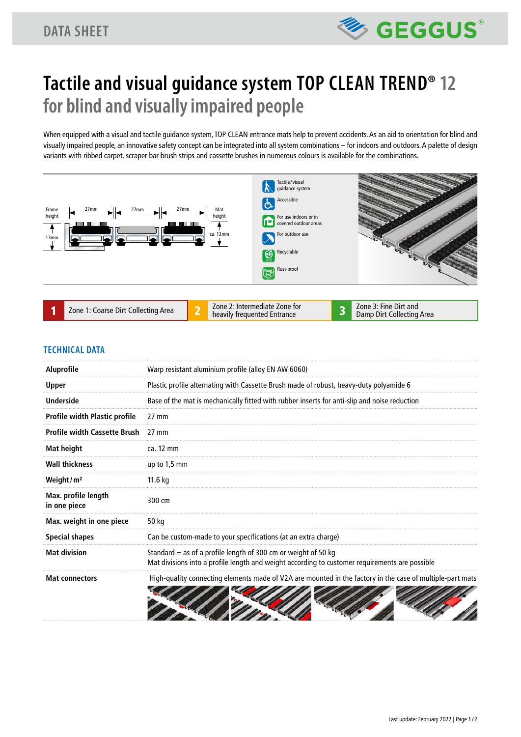### **DATA SHEET**



# **Tactile and visual guidance system TOP CLEAN TREND® 12 for blind and visually impaired people**

When equipped with a visual and tactile guidance system, TOP CLEAN entrance mats help to prevent accidents. As an aid to orientation for blind and visually impaired people, an innovative safety concept can be integrated into all system combinations – for indoors and outdoors. A palette of design variants with ribbed carpet, scraper bar brush strips and cassette brushes in numerous colours is available for the combinations.



#### **TECHNICAL DATA**

| <b>Aluprofile</b>                   | Warp resistant aluminium profile (alloy EN AW 6060)                                                                                                              |
|-------------------------------------|------------------------------------------------------------------------------------------------------------------------------------------------------------------|
| <b>Upper</b>                        | Plastic profile alternating with Cassette Brush made of robust, heavy-duty polyamide 6                                                                           |
| <b>Underside</b>                    | Base of the mat is mechanically fitted with rubber inserts for anti-slip and noise reduction                                                                     |
| Profile width Plastic profile       | $27 \text{ mm}$                                                                                                                                                  |
| <b>Profile width Cassette Brush</b> | $27 \text{ mm}$                                                                                                                                                  |
| Mat height                          | ca. 12 mm                                                                                                                                                        |
| <b>Wall thickness</b>               | up to $1,5$ mm                                                                                                                                                   |
| Weight/ $m2$                        | 11,6 kg                                                                                                                                                          |
| Max. profile length<br>in one piece | 300 cm                                                                                                                                                           |
| Max. weight in one piece            | 50 kg                                                                                                                                                            |
| <b>Special shapes</b>               | Can be custom-made to your specifications (at an extra charge)                                                                                                   |
| <b>Mat division</b>                 | Standard = as of a profile length of 300 cm or weight of 50 kg<br>Mat divisions into a profile length and weight according to customer requirements are possible |
| <b>Mat connectors</b>               | High-quality connecting elements made of V2A are mounted in the factory in the case of multiple-part mats                                                        |